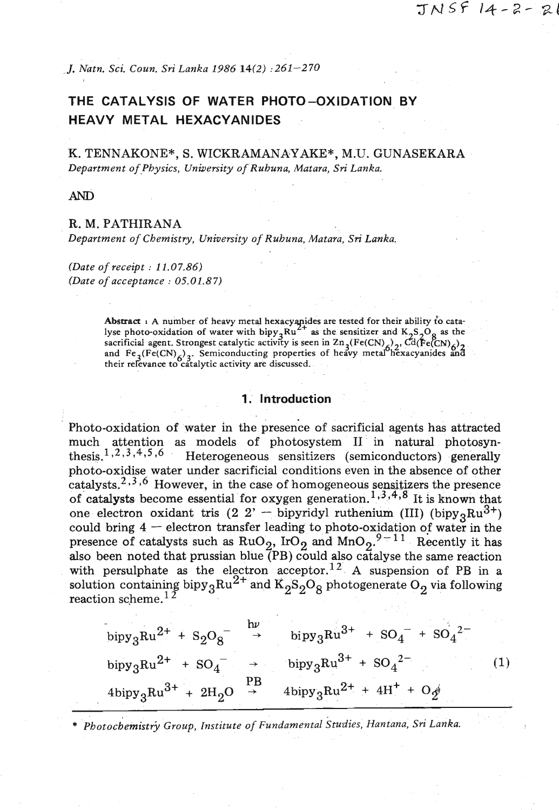*J. Natn. Sci. Coun. Sri Lanka* 1986 14(2) : 261-270

## **THE CATALYSIS OF WATER PHOTO-OXIDATION BY HEAVY METAL HEXACYAN IDES**

K. TENNAKONE\*, S. WICKRAMANAYAKE\*, M.U. GUNASEKARA *Department of,Physics, University of Ruhuna, Matara, Sri Lanka.* 

**AND** 

#### R. M. PATHIRANA

*Department of Chemistry, University of Ruhuna, Matara, Sri Lanka.* 

*(Date of receipt* : 11.07.86) *(Date of acceptance* : 05.01.87)

> **Abstract** : **A number of heavy metal hexacyyides are tested for their ability t!o cata**lyse photo-oxidation of water with  $bipy_3Ru^{2+}$  as the sensitizer and  $K_2S_2O_8$  as the **sacrificial agent. Strongest catalytic activity is seen in Zn<sub>2</sub>(Fe(CN)<sub>2</sub>), Cd(Fe(CN)<sub>2</sub>)** and Fe<sub>2</sub>(Fe(CN)<sub>4</sub>)<sub>2</sub>. Semiconducting properties of heavy metal hexacyanides and **their rehance to catalytic activity are discussed.**

### **1. Introduction**

Photo-oxidation of water in the presence of sacrificial agents has attracted much attention as models of photosystem II in natural photosyn-<br>thesis.<sup>1,2,3,4,5,6</sup> Heterogeneous sensitizers (semiconductors) generally Heterogeneous sensitizers (semiconductors) generally photo-oxidise water under sacrificial conditions even in the absence of other catalysts.<sup>2,3,6</sup> However, in the case of homogeneous sensitizers the presence of catalysts become essential for oxygen generation.<sup>1</sup>,<sup>3</sup>,<sup>4</sup>,<sup>8</sup> It is known that one electron oxidant tris (2 <sup>2'</sup> - bipyridyl ruthenium (III) (bipy<sub>3</sub>Ru<sup>3+</sup>) one electron oxidant tris  $(2 \t2' - bipyridyl$  ruthenium (III)  $(bipy_3Ru^{3+})$  could bring  $4 - e$  lectron transfer leading to photo-oxidation of water in the presence of catalysts such as  $RuO_2$ ,  $IrO_2$  and  $MnO_2$ .<sup>9-11</sup> Recently it has also been noted that prussian blue  $(PB)$  could also catalyse the same reaction with persulphate as the electron acceptor.<sup>12</sup> A suspension of PB in a solution containing bipy<sub>3</sub>Ru<sup>2+</sup> and K<sub>2</sub>S<sub>2</sub>O<sub>8</sub> photogenerate O<sub>2</sub> via following  $\,$  reaction scheme. $^{\rm l}$ 

$$
bipy_{3}Ru^{2+} + S_{2}O_{8}^{-} \rightarrow bipy_{3}Ru^{3+} + SO_{4}^{-} + SO_{4}^{2-}
$$
  
\n
$$
bipy_{3}Ru^{2+} + SO_{4}^{-} \rightarrow bipy_{3}Ru^{3+} + SO_{4}^{2-}
$$
  
\n
$$
4bipy_{3}Ru^{3+} + 2H_{2}O \rightarrow 4bipy_{3}Ru^{2+} + 4H^{+} + O_{2}^{0}
$$
  
\n(1)

\* *~hotochemistrj Group, Institute of Fundamental studies, Hantana,* **Sn'** *Lanka.*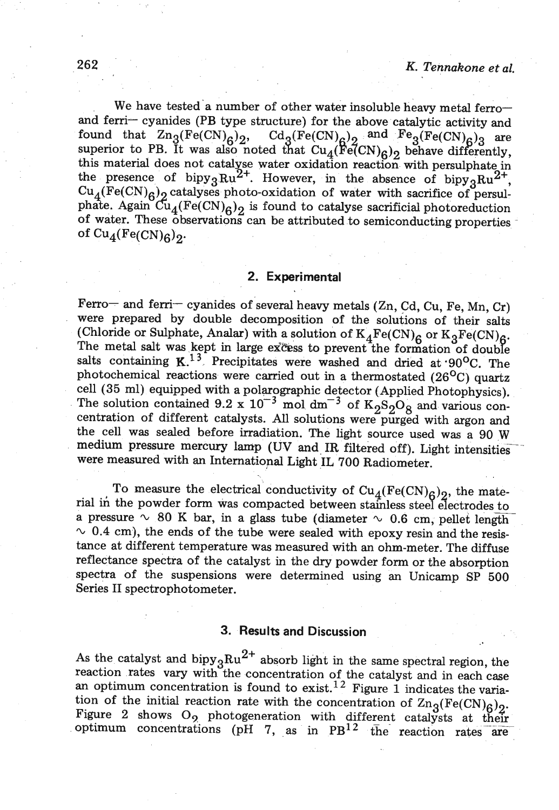We have tested a number of other water insoluble heavy metal ferroand ferri- cyanides (PB type structure) for the above catalytic activity and found that  $\text{Zn}_3(\text{Fe(CN)}_{\mathcal{O}})_{2}$ ,  $\text{Cd}_9(\text{Fe(CN)}_{\mathcal{O}})_{2}$  and  $\text{Fe}_9(\text{Fe(CN)}_{\mathcal{O}})_{2}$  are superior to PB. It was also noted that  $Cu_4(Fe(CN)_{6})_2$  behave differently, this material does not catalyse water oxidation reaction with persulphate in the presence of bipy<sub>3</sub> $Ru^{2+}$ . However, in the absence of bipy<sub>3</sub> $Ru^{2+}$ ,  $Cu_{\mathcal{A}}(Fe(CN)_{6})_{2}$  catalyses photo-oxidation of water with sacrifice of persulphate. Again  $\tilde{Cu}_4(Fe(CN)_6)$  is found to catalyse sacrificial photoreduction of water. These observations can be attributed to semiconducting properties of  $Cu_4(Fe(CN)<sub>6</sub>)_2$ .

#### **2. Experimental**

Ferro- and ferri- cyanides of several heavy metals  $(Zn, Cd, Cu, Fe, Mn, Cr)$ were prepared by double decomposition of the solutions of their salts (Chloride or Sulphate, Analar) with a solution of  $K_4Fe(CN)_6$  or  $K_3Fe(CN)_6$ .<br>The metal salt was kept in large excess to prevent the formation of double salts containing **K.<sup>13</sup>** Precipitates were washed and dried at 90<sup>o</sup>C. The photochemical reactions were carried out in a thermostated  $(26^{\circ}C)$  quartz cell  $(35 \text{ ml})$  equipped with a polarographic detector (Applied Photophysics). The solution contained  $9.2 \times 10^{-3}$  mol dm<sup>-3</sup> of  $K_0S_0O_0$  and various concentration of different catalysts. All solutions were purged with argon and the cell was sealed before irradiation. The light source used was a 90 W medium pressure mercury lamp (UV and IR filtered off). Light intensities were measured with an International Light IL 700 Radiometer.

To measure the electrical conductivity of  $Cu_{4}(Fe(CN)_{c})$ , the material in the powder form was compacted between stainless steel electrodes to<br>
in the powder form was compacted between stainless steel electrodes to<br>
in the powder form was compacted between stainless steel electrodes to<br> rial in the powder form was compacted between stainless steel electrodes to a pressure  $\sim 80$  K bar, in a glass tube (diameter  $\sim 0.6$  cm, pellet length  $\sim$  0.4 cm), the ends of the tube were sealed with epoxy resin and the resistance at different temperature was measured with an ohm-meter. The diffuse reflectance spectra of the catalyst in the dry powder form or the absorption spectra of the suspensions were determined using an Unicamp SP 500 Series **I1** spectrophotometer.

#### **3. Results and Discussion**

As the catalyst and bipy<sub>3</sub> $Ru^{2+}$  absorb light in the same spectral region, the reaction rates vary with the concentration of the catalyst and in each case an optimum concentration is found to exist.<sup>12</sup> Figure 1 indicates the variation of the initial reaction rate with the concentration of  $\text{Zn}_3(\text{Fe(CN)}_6)_2$ . Figure 2 shows  $O_9$  photogeneration with different catalysts at their -- - optimum concentrations (pH 7, .as in fig reaction rates are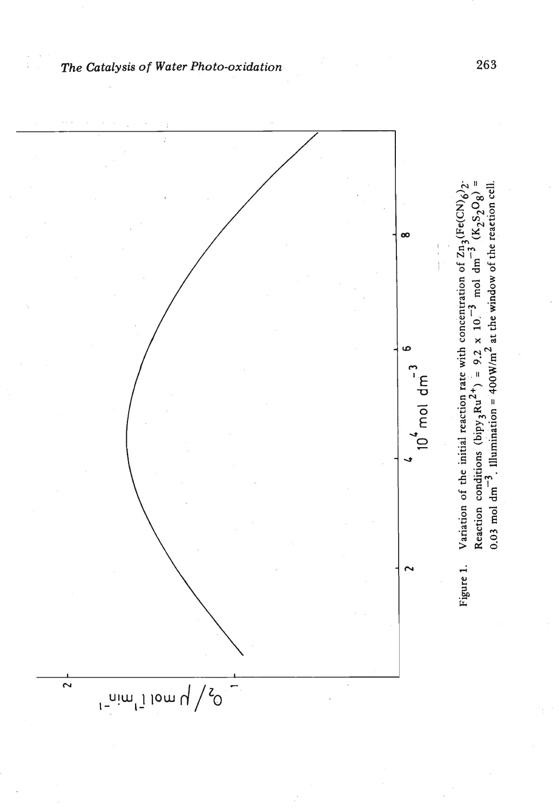

The Catalysis of Water Photo-oxidation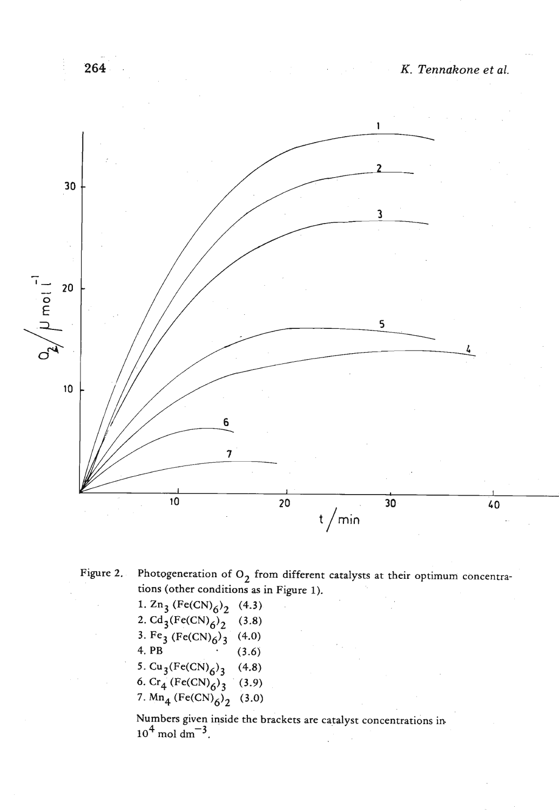

264

Figure 2. Photogeneration of  $O_2$  from different catalysts at their optimum concentrations (other conditions as in Figure 1).

1.  $\text{Zn}_3$  (Fe(CN)<sub>6</sub>)<sub>2</sub> (4.3) 2.  $Cd_{3}(Fe(CN)_{6})_{2}^{6}$  (3.8) 3. Fe<sub>3</sub> (Fe(CN)<sub>6</sub>)<sub>3</sub> (4.0) 4. PB (3.6) 5.  $Cu_3(Fe(CN)_{6})_{3}$  (4.8) **6.**  $\text{Cr}_4$  (Fe(CN)<sub>6</sub>)<sub>3</sub> (3.9) 7.  $Mn_4$  (Fe(CN)<sub>6</sub>)<sub>2</sub> (3.0)

Numbers given inside the brackets are catalyst concentrations in  $10^4$  mol dm<sup>-3</sup>.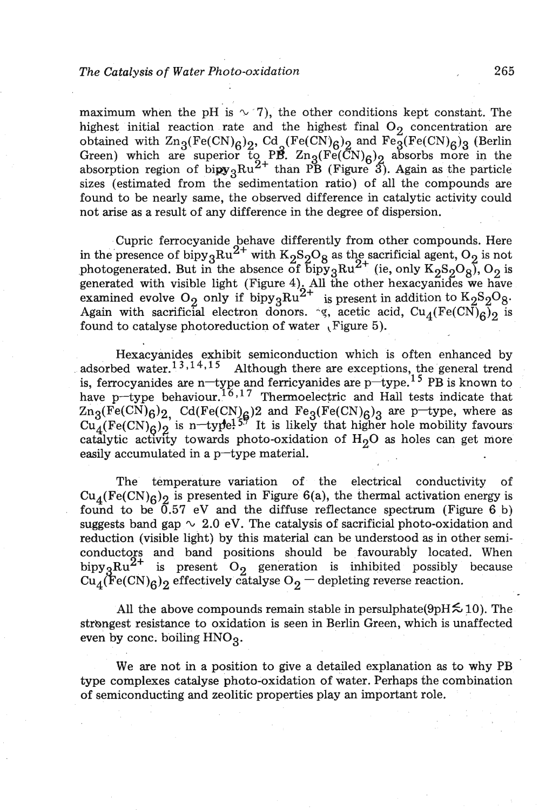### *The Catalysis of Water Photo-oxidation* **265**

maximum when the pH is  $\sim$  7), the other conditions kept constant. The highest initial reaction rate and the highest final  $O_2$  concentration are obtained with  $\text{Zn}_3(\text{Fe(CN)}_6)_2$ , Cd (Fe(CN)<sub>6</sub>)<sub>2</sub> and Fe<sub>3</sub>(Fe(CN)<sub>6</sub>)<sub>3</sub> (Berlin Green) which are superior to PB.  $\text{Zn}_3(\text{Fe}(\bar{\text{CN}})_6)_2$  absorbs more in the absorption region of  $\text{bipy}_3\text{Ru}^{2+}$  than PB (Figure 3). Again as the particle sizes (estimated from the sedimentation ratio) of all the compounds are found to be nearly same, the observed difference in catalytic activity could not arise as a result of any difference in the degree of dispersion.

Cupric ferrocyanide behave differently from other compounds. Here in the presence of bipy<sub>3</sub>Ru<sup>2+</sup> with K<sub>2</sub>S<sub>2</sub>O<sub>8</sub> as the sacrificial agent, O<sub>2</sub> is not photogenerated. But in the absence of  $\overline{b}$ ipy<sub>3</sub>Ru<sup>2+</sup> (ie, only K<sub>2</sub>S<sub>2</sub>O<sub>8</sub>), O<sub>2</sub> is generated with visible light (Figure 4). All the other hexacyanides we have examined evolve O<sub>2</sub> only if bipy<sub>3</sub>Ru<sup>2+</sup> is present in addition to K<sub>2</sub>S<sub>2</sub>O<sub>8</sub>. Again with sacrificial electron donors.  $\gamma$ , acetic acid, Cu<sub>4</sub>(Fe(CN)<sub>6</sub>)<sub>2</sub> is found to catalyse photoreduction of water (Figure 5).

Hexacyanides exhibit semiconduction which is often enhanced by adsorbed water.<sup>13,14,15</sup> Although there are exceptions, the general trend is, ferrocyanides are n-type and ferricyanides are  $p$ -type.<sup>15</sup> PB is known to have p-type behaviour.<sup>16,17</sup> Thermoelectric and Hall tests indicate that  $\text{Zn}_3(\text{Fe(CN)}_6)_2$ ,  $\text{Cd(Fe(CN)}_6)_2$  and  $\text{Fe}_3(\text{Fe(CN)}_6)_3$  are p-type, where as  $Cu<sub>4</sub>(Fe(CN)<sub>6</sub>)<sub>2</sub>$  is n-type!<sup>57</sup> It is likely that higher hole mobility favours catalytic activity towards photo-oxidation of  $H_2O$  as holes can get more easily accumulated in a  $p$ -type material.

The temperature variation of the electrical conductivity of  $Cu_{4}(Fe(CN)_{6})_{2}$  is presented in Figure 6(a), the thermal activation energy is found to be  $\overline{0.57}$  eV and the diffuse reflectance spectrum (Figure 6 b) suggests band gap  $\sim 2.0$  eV. The catalysis of sacrificial photo-oxidation and reduction (visible light) by this material can be understood as in other semiconductors and band positions should be favourably located. When bipy  ${}_{3}Ru^{2+}$  is present O<sub>2</sub> generation is inhibited possibly because Cu<sub>4</sub>(Fe(CN)<sub>6</sub>)<sub>2</sub> effectively catalyse O<sub>2</sub> – depleting reverse reaction.

All the above compounds remain stable in persulphate( $9pH \lesssim 10$ ). The strongest resistance to oxidation is seen in Berlin Green, which is unaffected even by conc. boiling  $HNO<sub>3</sub>$ .

We are not in a position to give a detailed explanation as to why PB type complexes catalyse photo-oxidation of water. Perhaps the combination of semiconducting and zeolitic properties play an important role.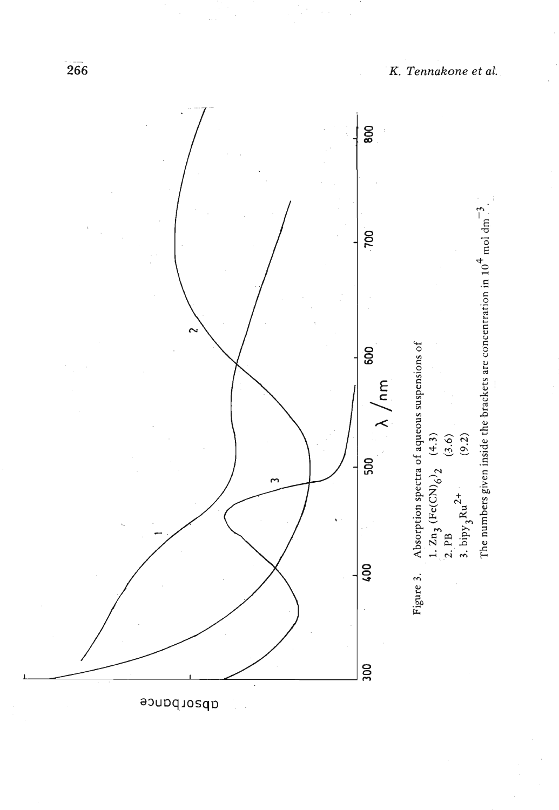

K. Tennakone et al.

apsorbance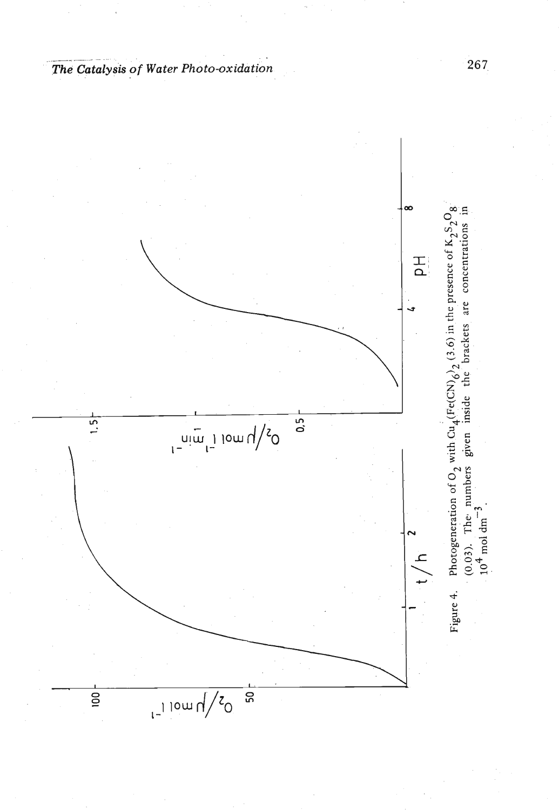

- *The* **Catalysis** *of Water Photo-oxidation*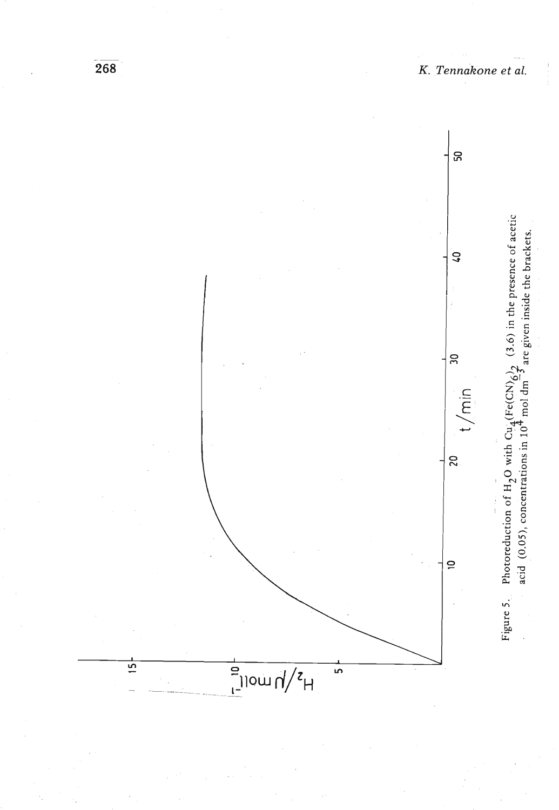

K. Tennakone et al.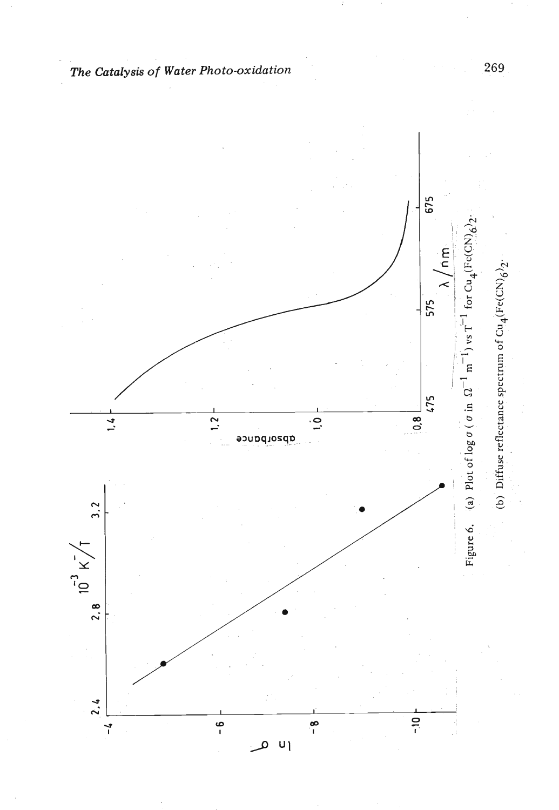

*The Catalysis of Water Photo-oxidation*